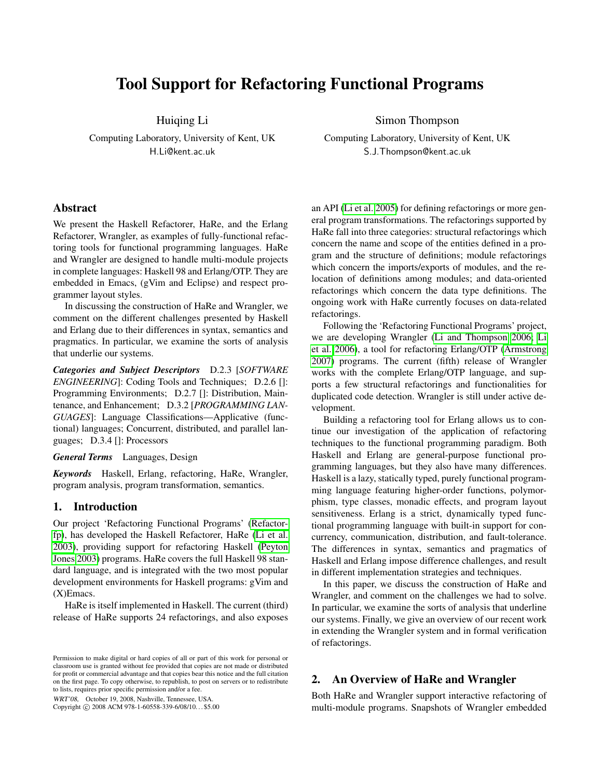# Tool Support for Refactoring Functional Programs

Huiqing Li

Computing Laboratory, University of Kent, UK H.Li@kent.ac.uk

## Abstract

We present the Haskell Refactorer, HaRe, and the Erlang Refactorer, Wrangler, as examples of fully-functional refactoring tools for functional programming languages. HaRe and Wrangler are designed to handle multi-module projects in complete languages: Haskell 98 and Erlang/OTP. They are embedded in Emacs, (gVim and Eclipse) and respect programmer layout styles.

In discussing the construction of HaRe and Wrangler, we comment on the different challenges presented by Haskell and Erlang due to their differences in syntax, semantics and pragmatics. In particular, we examine the sorts of analysis that underlie our systems.

*Categories and Subject Descriptors* D.2.3 [*SOFTWARE ENGINEERING*]: Coding Tools and Techniques; D.2.6 []: Programming Environments; D.2.7 []: Distribution, Maintenance, and Enhancement; D.3.2 [*PROGRAMMING LAN-GUAGES*]: Language Classifications—Applicative (functional) languages; Concurrent, distributed, and parallel languages; D.3.4 []: Processors

#### *General Terms* Languages, Design

*Keywords* Haskell, Erlang, refactoring, HaRe, Wrangler, program analysis, program transformation, semantics.

### 1. Introduction

Our project 'Refactoring Functional Programs' [\(Refactor](#page-3-0)[fp\)](#page-3-0), has developed the Haskell Refactorer, HaRe [\(Li et al.](#page-3-1) [2003\)](#page-3-1), providing support for refactoring Haskell [\(Peyton](#page-3-2) [Jones 2003\)](#page-3-2) programs. HaRe covers the full Haskell 98 standard language, and is integrated with the two most popular development environments for Haskell programs: gVim and (X)Emacs.

HaRe is itself implemented in Haskell. The current (third) release of HaRe supports 24 refactorings, and also exposes

WRT'08, October 19, 2008, Nashville, Tennessee, USA.

Copyright © 2008 ACM 978-1-60558-339-6/08/10... \$5.00

Simon Thompson

Computing Laboratory, University of Kent, UK S.J.Thompson@kent.ac.uk

an API [\(Li et al. 2005\)](#page-3-3) for defining refactorings or more general program transformations. The refactorings supported by HaRe fall into three categories: structural refactorings which concern the name and scope of the entities defined in a program and the structure of definitions; module refactorings which concern the imports/exports of modules, and the relocation of definitions among modules; and data-oriented refactorings which concern the data type definitions. The ongoing work with HaRe currently focuses on data-related refactorings.

Following the 'Refactoring Functional Programs' project, we are developing Wrangler [\(Li and Thompson 2006;](#page-3-4) [Li](#page-3-5) [et al. 2006\)](#page-3-5), a tool for refactoring Erlang/OTP [\(Armstrong](#page-3-6) [2007\)](#page-3-6) programs. The current (fifth) release of Wrangler works with the complete Erlang/OTP language, and supports a few structural refactorings and functionalities for duplicated code detection. Wrangler is still under active development.

Building a refactoring tool for Erlang allows us to continue our investigation of the application of refactoring techniques to the functional programming paradigm. Both Haskell and Erlang are general-purpose functional programming languages, but they also have many differences. Haskell is a lazy, statically typed, purely functional programming language featuring higher-order functions, polymorphism, type classes, monadic effects, and program layout sensitiveness. Erlang is a strict, dynamically typed functional programming language with built-in support for concurrency, communication, distribution, and fault-tolerance. The differences in syntax, semantics and pragmatics of Haskell and Erlang impose difference challenges, and result in different implementation strategies and techniques.

In this paper, we discuss the construction of HaRe and Wrangler, and comment on the challenges we had to solve. In particular, we examine the sorts of analysis that underline our systems. Finally, we give an overview of our recent work in extending the Wrangler system and in formal verification of refactorings.

# 2. An Overview of HaRe and Wrangler

Both HaRe and Wrangler support interactive refactoring of multi-module programs. Snapshots of Wrangler embedded

Permission to make digital or hard copies of all or part of this work for personal or classroom use is granted without fee provided that copies are not made or distributed for profit or commercial advantage and that copies bear this notice and the full citation on the first page. To copy otherwise, to republish, to post on servers or to redistribute to lists, requires prior specific permission and/or a fee.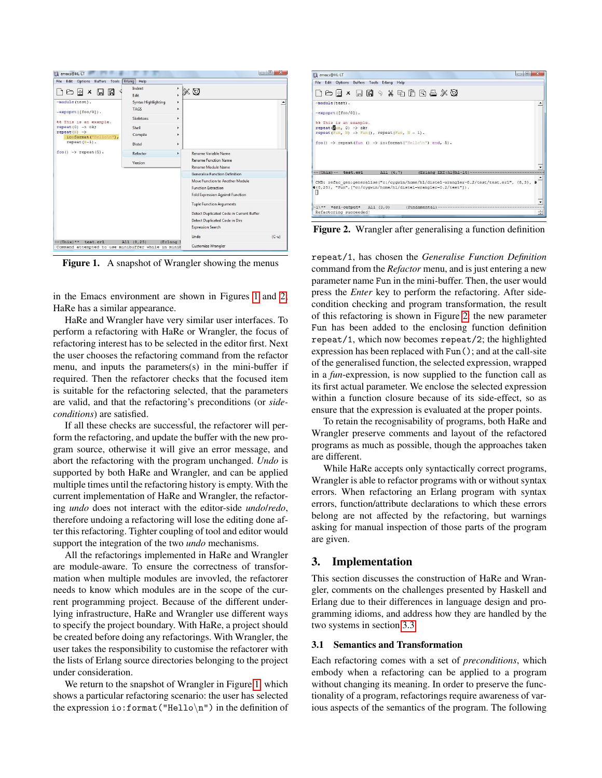| Options<br>Buffers Tools<br>File Edit                                                                                                                                                          | Erlang Help                                                                                     |                                 |                                                                                                               |         |
|------------------------------------------------------------------------------------------------------------------------------------------------------------------------------------------------|-------------------------------------------------------------------------------------------------|---------------------------------|---------------------------------------------------------------------------------------------------------------|---------|
| H M<br>H<br>$\boldsymbol{\mathsf{x}}$<br>-module(test).<br>$-expoprt([foo/0]).$<br>%% This is an example.<br>$repeat(0)$ -> ok;<br>$repeat(N)$ -><br>io:format("Hello\n"),<br>repeat $(N-1)$ . | Indent<br>Edit<br>Syntax Highlighting<br><b>TAGS</b><br>Skeletons<br>Shell<br>Compile<br>Distel | ٠<br>r<br>r<br>٠<br>¥<br>k<br>٠ | $*$ 0                                                                                                         |         |
| $foo() \rightarrow repeat(5)$ .                                                                                                                                                                | Refactor<br>Version                                                                             | ٠                               | Rename Variable Name<br><b>Rename Function Name</b><br>Rename Module Name                                     |         |
|                                                                                                                                                                                                |                                                                                                 |                                 | <b>Generalise Function Definition</b>                                                                         |         |
|                                                                                                                                                                                                |                                                                                                 |                                 | Move Function to Another Module<br><b>Function Extraction</b><br><b>Fold Expression Against Function</b>      |         |
|                                                                                                                                                                                                |                                                                                                 |                                 | <b>Tuple Function Arguments</b>                                                                               |         |
|                                                                                                                                                                                                |                                                                                                 |                                 | Detect Duplicated Code in Current Buffer<br><b>Detect Duplicated Code in Dirs</b><br><b>Expression Search</b> |         |
|                                                                                                                                                                                                |                                                                                                 |                                 | Undo                                                                                                          | $(C-u)$ |
| $--$ (Unix) **<br>test.erl<br>All (8,25)<br>(Erlang<br>Command attempted to use minibuffer while in minib                                                                                      |                                                                                                 |                                 | Customize Wrangler                                                                                            |         |

<span id="page-1-0"></span>Figure 1. A snapshot of Wrangler showing the menus

in the Emacs environment are shown in Figures [1](#page-1-0) and [2;](#page-1-1) HaRe has a similar appearance.

HaRe and Wrangler have very similar user interfaces. To perform a refactoring with HaRe or Wrangler, the focus of refactoring interest has to be selected in the editor first. Next the user chooses the refactoring command from the refactor menu, and inputs the parameters(s) in the mini-buffer if required. Then the refactorer checks that the focused item is suitable for the refactoring selected, that the parameters are valid, and that the refactoring's preconditions (or *sideconditions*) are satisfied.

If all these checks are successful, the refactorer will perform the refactoring, and update the buffer with the new program source, otherwise it will give an error message, and abort the refactoring with the program unchanged. *Undo* is supported by both HaRe and Wrangler, and can be applied multiple times until the refactoring history is empty. With the current implementation of HaRe and Wrangler, the refactoring *undo* does not interact with the editor-side *undo*/*redo*, therefore undoing a refactoring will lose the editing done after this refactoring. Tighter coupling of tool and editor would support the integration of the two *undo* mechanisms.

All the refactorings implemented in HaRe and Wrangler are module-aware. To ensure the correctness of transformation when multiple modules are invovled, the refactorer needs to know which modules are in the scope of the current programming project. Because of the different underlying infrastructure, HaRe and Wrangler use different ways to specify the project boundary. With HaRe, a project should be created before doing any refactorings. With Wrangler, the user takes the responsibility to customise the refactorer with the lists of Erlang source directories belonging to the project under consideration.

We return to the snapshot of Wrangler in Figure [1,](#page-1-0) which shows a particular refactoring scenario: the user has selected the expression io: format ("Hello $\langle n \rangle$ ") in the definition of



<span id="page-1-1"></span>Figure 2. Wrangler after generalising a function definition

repeat/1, has chosen the *Generalise Function Definition* command from the *Refactor* menu, and is just entering a new parameter name Fun in the mini-buffer. Then, the user would press the *Enter* key to perform the refactoring. After sidecondition checking and program transformation, the result of this refactoring is shown in Figure [2:](#page-1-1) the new parameter Fun has been added to the enclosing function definition repeat/1, which now becomes repeat/2; the highlighted expression has been replaced with Fun(); and at the call-site of the generalised function, the selected expression, wrapped in a *fun*-expression, is now supplied to the function call as its first actual parameter. We enclose the selected expression within a function closure because of its side-effect, so as ensure that the expression is evaluated at the proper points.

To retain the recognisability of programs, both HaRe and Wrangler preserve comments and layout of the refactored programs as much as possible, though the approaches taken are different.

While HaRe accepts only syntactically correct programs, Wrangler is able to refactor programs with or without syntax errors. When refactoring an Erlang program with syntax errors, function/attribute declarations to which these errors belong are not affected by the refactoring, but warnings asking for manual inspection of those parts of the program are given.

## 3. Implementation

This section discusses the construction of HaRe and Wrangler, comments on the challenges presented by Haskell and Erlang due to their differences in language design and programming idioms, and address how they are handled by the two systems in section [3.3.](#page-2-0)

#### 3.1 Semantics and Transformation

Each refactoring comes with a set of *preconditions*, which embody when a refactoring can be applied to a program without changing its meaning. In order to preserve the functionality of a program, refactorings require awareness of various aspects of the semantics of the program. The following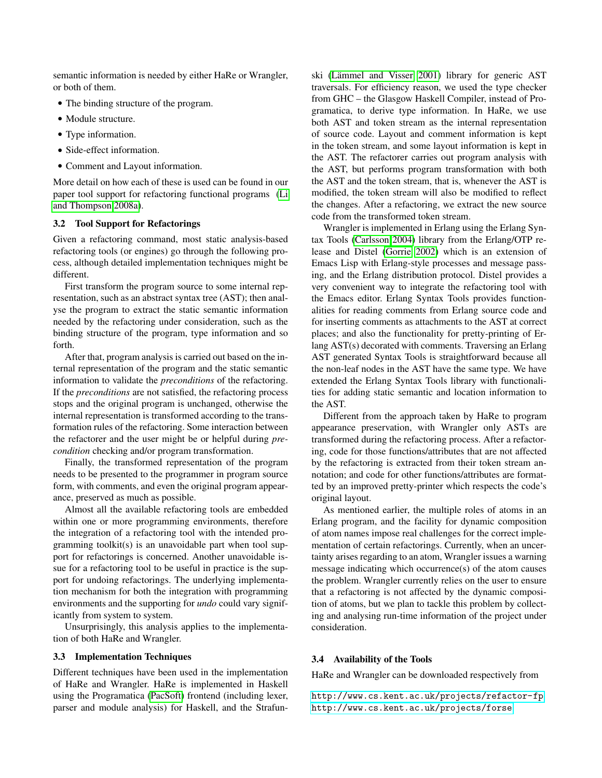semantic information is needed by either HaRe or Wrangler, or both of them.

- The binding structure of the program.
- Module structure.
- Type information.
- Side-effect information.
- Comment and Layout information.

More detail on how each of these is used can be found in our paper tool support for refactoring functional programs [\(Li](#page-3-7) [and Thompson 2008a\)](#page-3-7).

#### 3.2 Tool Support for Refactorings

Given a refactoring command, most static analysis-based refactoring tools (or engines) go through the following process, although detailed implementation techniques might be different.

First transform the program source to some internal representation, such as an abstract syntax tree (AST); then analyse the program to extract the static semantic information needed by the refactoring under consideration, such as the binding structure of the program, type information and so forth.

After that, program analysis is carried out based on the internal representation of the program and the static semantic information to validate the *preconditions* of the refactoring. If the *preconditions* are not satisfied, the refactoring process stops and the original program is unchanged, otherwise the internal representation is transformed according to the transformation rules of the refactoring. Some interaction between the refactorer and the user might be or helpful during *precondition* checking and/or program transformation.

Finally, the transformed representation of the program needs to be presented to the programmer in program source form, with comments, and even the original program appearance, preserved as much as possible.

Almost all the available refactoring tools are embedded within one or more programming environments, therefore the integration of a refactoring tool with the intended programming toolkit(s) is an unavoidable part when tool support for refactorings is concerned. Another unavoidable issue for a refactoring tool to be useful in practice is the support for undoing refactorings. The underlying implementation mechanism for both the integration with programming environments and the supporting for *undo* could vary significantly from system to system.

Unsurprisingly, this analysis applies to the implementation of both HaRe and Wrangler.

#### <span id="page-2-0"></span>3.3 Implementation Techniques

Different techniques have been used in the implementation of HaRe and Wrangler. HaRe is implemented in Haskell using the Programatica [\(PacSoft\)](#page-3-8) frontend (including lexer, parser and module analysis) for Haskell, and the Strafun-

ski (Lämmel and Visser 2001) library for generic AST traversals. For efficiency reason, we used the type checker from GHC – the Glasgow Haskell Compiler, instead of Programatica, to derive type information. In HaRe, we use both AST and token stream as the internal representation of source code. Layout and comment information is kept in the token stream, and some layout information is kept in the AST. The refactorer carries out program analysis with the AST, but performs program transformation with both the AST and the token stream, that is, whenever the AST is modified, the token stream will also be modified to reflect the changes. After a refactoring, we extract the new source code from the transformed token stream.

Wrangler is implemented in Erlang using the Erlang Syntax Tools [\(Carlsson 2004\)](#page-3-10) library from the Erlang/OTP release and Distel [\(Gorrie 2002\)](#page-3-11) which is an extension of Emacs Lisp with Erlang-style processes and message passing, and the Erlang distribution protocol. Distel provides a very convenient way to integrate the refactoring tool with the Emacs editor. Erlang Syntax Tools provides functionalities for reading comments from Erlang source code and for inserting comments as attachments to the AST at correct places; and also the functionality for pretty-printing of Erlang AST(s) decorated with comments. Traversing an Erlang AST generated Syntax Tools is straightforward because all the non-leaf nodes in the AST have the same type. We have extended the Erlang Syntax Tools library with functionalities for adding static semantic and location information to the AST.

Different from the approach taken by HaRe to program appearance preservation, with Wrangler only ASTs are transformed during the refactoring process. After a refactoring, code for those functions/attributes that are not affected by the refactoring is extracted from their token stream annotation; and code for other functions/attributes are formatted by an improved pretty-printer which respects the code's original layout.

As mentioned earlier, the multiple roles of atoms in an Erlang program, and the facility for dynamic composition of atom names impose real challenges for the correct implementation of certain refactorings. Currently, when an uncertainty arises regarding to an atom, Wrangler issues a warning message indicating which occurrence(s) of the atom causes the problem. Wrangler currently relies on the user to ensure that a refactoring is not affected by the dynamic composition of atoms, but we plan to tackle this problem by collecting and analysing run-time information of the project under consideration.

## 3.4 Availability of the Tools

HaRe and Wrangler can be downloaded respectively from

<http://www.cs.kent.ac.uk/projects/refactor-fp> <http://www.cs.kent.ac.uk/projects/forse>